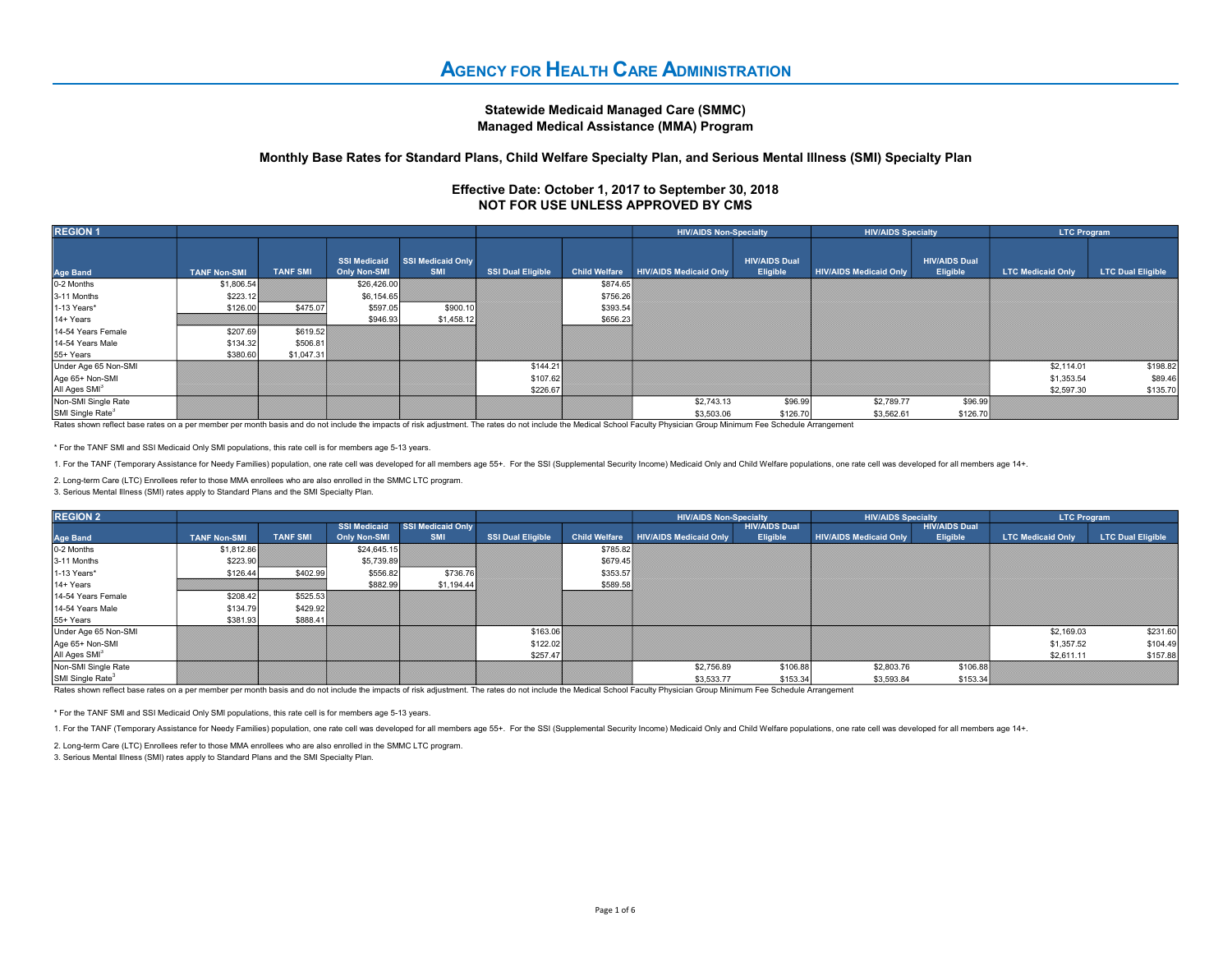## Statewide Medicaid Managed Care (SMMC) Managed Medical Assistance (MMA) Program

## Monthly Base Rates for Standard Plans, Child Welfare Specialty Plan, and Serious Mental Illness (SMI) Specialty Plan

## Effective Date: October 1, 2017 to September 30, 2018 NOT FOR USE UNLESS APPROVED BY CMS

| <b>REGION 1</b>              |                     |                 |                                            |                          |                          | <b>HIV/AIDS Non-Specialty</b> |                               | <b>HIV/AIDS Specialty</b>        |                               | <b>LTC Program</b>               |                          |                          |
|------------------------------|---------------------|-----------------|--------------------------------------------|--------------------------|--------------------------|-------------------------------|-------------------------------|----------------------------------|-------------------------------|----------------------------------|--------------------------|--------------------------|
| <b>Age Band</b>              | <b>TANF Non-SMI</b> | <b>TANF SMI</b> | <b>SSI Medicaid</b><br><b>Only Non-SMI</b> | SSI Medicaid Only<br>SMI | <b>SSI Dual Eligible</b> | <b>Child Welfare</b>          | <b>HIV/AIDS Medicaid Only</b> | <b>HIV/AIDS Dual</b><br>Eligible | <b>HIV/AIDS Medicaid Only</b> | <b>HIV/AIDS Dual</b><br>Eligible | <b>LTC Medicaid Only</b> | <b>LTC Dual Eligible</b> |
| 0-2 Months                   | \$1,806.54          |                 | \$26,426.00                                |                          |                          | \$874.65                      |                               |                                  |                               |                                  |                          |                          |
| 3-11 Months                  | \$223.12            |                 | \$6,154.65                                 |                          |                          | \$756.26                      |                               |                                  |                               |                                  |                          |                          |
| 1-13 Years*                  | \$126.00            | \$475.07        | \$597.05                                   | \$900.10                 |                          | \$393.54                      |                               |                                  |                               |                                  |                          |                          |
| 14+ Years                    |                     |                 | \$946.93                                   | \$1,458.12               |                          | \$656.23                      |                               |                                  |                               |                                  |                          |                          |
| 14-54 Years Female           | \$207.69            | \$619.52        |                                            |                          |                          |                               |                               |                                  |                               |                                  |                          |                          |
| 14-54 Years Male             | \$134.32            | \$506.81        |                                            |                          |                          |                               |                               |                                  |                               |                                  |                          |                          |
| 55+ Years                    | \$380.60            | \$1,047.31      |                                            |                          |                          |                               |                               |                                  |                               |                                  |                          |                          |
| Under Age 65 Non-SMI         |                     |                 |                                            |                          | \$144.21                 |                               |                               |                                  |                               |                                  | \$2,114.01               | \$198.82                 |
| Age 65+ Non-SMI              |                     |                 |                                            |                          | \$107.62                 |                               |                               |                                  |                               |                                  | \$1,353.54               | \$89.46                  |
| All Ages SMI <sup>3</sup>    |                     |                 |                                            |                          | \$226.67                 |                               |                               |                                  |                               |                                  | \$2,597.30               | \$135.70                 |
| Non-SMI Single Rate          |                     |                 |                                            |                          |                          |                               | \$2,743.13                    | \$96.99                          | \$2,789.77                    | \$96.99                          |                          |                          |
| SMI Single Rate <sup>3</sup> |                     |                 |                                            |                          |                          |                               | \$3,503.06                    | \$126.70                         | \$3,562.61                    | \$126.70                         |                          |                          |

Rates shown reflect base rates on a per member per month basis and do not include the impacts of risk adjustment. The rates do not include the Medical School Faculty Physician Group Minimum Fee Schedule Arrangement

\* For the TANF SMI and SSI Medicaid Only SMI populations, this rate cell is for members age 5-13 years.

1. For the TANF (Temporary Assistance for Needy Families) population, one rate cell was developed for all members age 55+. For the SSI (Supplemental Security Income) Medicaid Only and Child Welfare populations, one rate ce

2. Long-term Care (LTC) Enrollees refer to those MMA enrollees who are also enrolled in the SMMC LTC program.

3. Serious Mental Illness (SMI) rates apply to Standard Plans and the SMI Specialty Plan.

| <b>REGION 2</b>              |                     |                 |                                     |                                 |                          |                      | <b>HIV/AIDS Non-Specialty</b> |                                  | <b>HIV/AIDS Specialty</b>     |                                         | <b>LTC Program</b>       |                          |
|------------------------------|---------------------|-----------------|-------------------------------------|---------------------------------|--------------------------|----------------------|-------------------------------|----------------------------------|-------------------------------|-----------------------------------------|--------------------------|--------------------------|
| Age Band                     | <b>TANF Non-SMI</b> | <b>TANF SMI</b> | <b>SSI Medicaid</b><br>Only Non-SMI | SSI Medicaid Only<br><b>SMI</b> | <b>SSI Dual Eligible</b> | <b>Child Welfare</b> | <b>HIV/AIDS Medicaid Only</b> | <b>HIV/AIDS Dual</b><br>Eligible | <b>HIV/AIDS Medicaid Only</b> | <b>HIV/AIDS Dual</b><br><b>Eligible</b> | <b>LTC Medicaid Only</b> | <b>LTC Dual Eligible</b> |
| 0-2 Months                   | \$1,812.86          |                 | \$24,645.15                         |                                 |                          | \$785.82             |                               |                                  |                               |                                         |                          |                          |
| 3-11 Months                  | \$223.90            |                 | \$5,739.89                          |                                 |                          | \$679.45             |                               |                                  |                               |                                         |                          |                          |
| 1-13 Years*                  | \$126.44            | \$402.99        | \$556.82                            | \$736.76                        |                          | \$353.57             |                               |                                  |                               |                                         |                          |                          |
| 14+ Years                    |                     |                 | \$882.99                            | \$1,194.44                      |                          | \$589.58             |                               |                                  |                               |                                         |                          |                          |
| 14-54 Years Female           | \$208.42            | \$525.53        |                                     |                                 |                          |                      |                               |                                  |                               |                                         |                          |                          |
| 14-54 Years Male             | \$134.79            | \$429.92        |                                     |                                 |                          |                      |                               |                                  |                               |                                         |                          |                          |
| 55+ Years                    | \$381.93            | \$888.41        |                                     |                                 |                          |                      |                               |                                  |                               |                                         |                          |                          |
| Under Age 65 Non-SMI         |                     |                 |                                     |                                 | \$163.06                 |                      |                               |                                  |                               |                                         | \$2,169.03               | \$231.60                 |
| Age 65+ Non-SMI              |                     |                 |                                     |                                 | \$122.02                 |                      |                               |                                  |                               |                                         | \$1,357.52               | \$104.49                 |
| All Ages SMI <sup>3</sup>    |                     |                 |                                     |                                 | \$257.47                 |                      |                               |                                  |                               |                                         | \$2,611.11               | \$157.88                 |
| Non-SMI Single Rate          |                     |                 |                                     |                                 |                          |                      | \$2,756.89                    | \$106.88                         | \$2,803.76                    | \$106.88                                |                          |                          |
| SMI Single Rate <sup>3</sup> |                     |                 |                                     |                                 |                          |                      | \$3,533.77                    | \$153.34                         | \$3,593.84                    | \$153.34                                |                          |                          |

Rates shown reflect base rates on a per member per month basis and do not include the impacts of risk adjustment. The rates do not include the Medical School Faculty Physician Group Minimum Fee Schedule Arrangement

\* For the TANF SMI and SSI Medicaid Only SMI populations, this rate cell is for members age 5-13 years.

1. For the TANF (Temporary Assistance for Needy Families) population, one rate cell was developed for all members age 55+. For the SSI (Supplemental Security Income) Medicaid Only and Child Welfare populations, one rate ce

2. Long-term Care (LTC) Enrollees refer to those MMA enrollees who are also enrolled in the SMMC LTC program.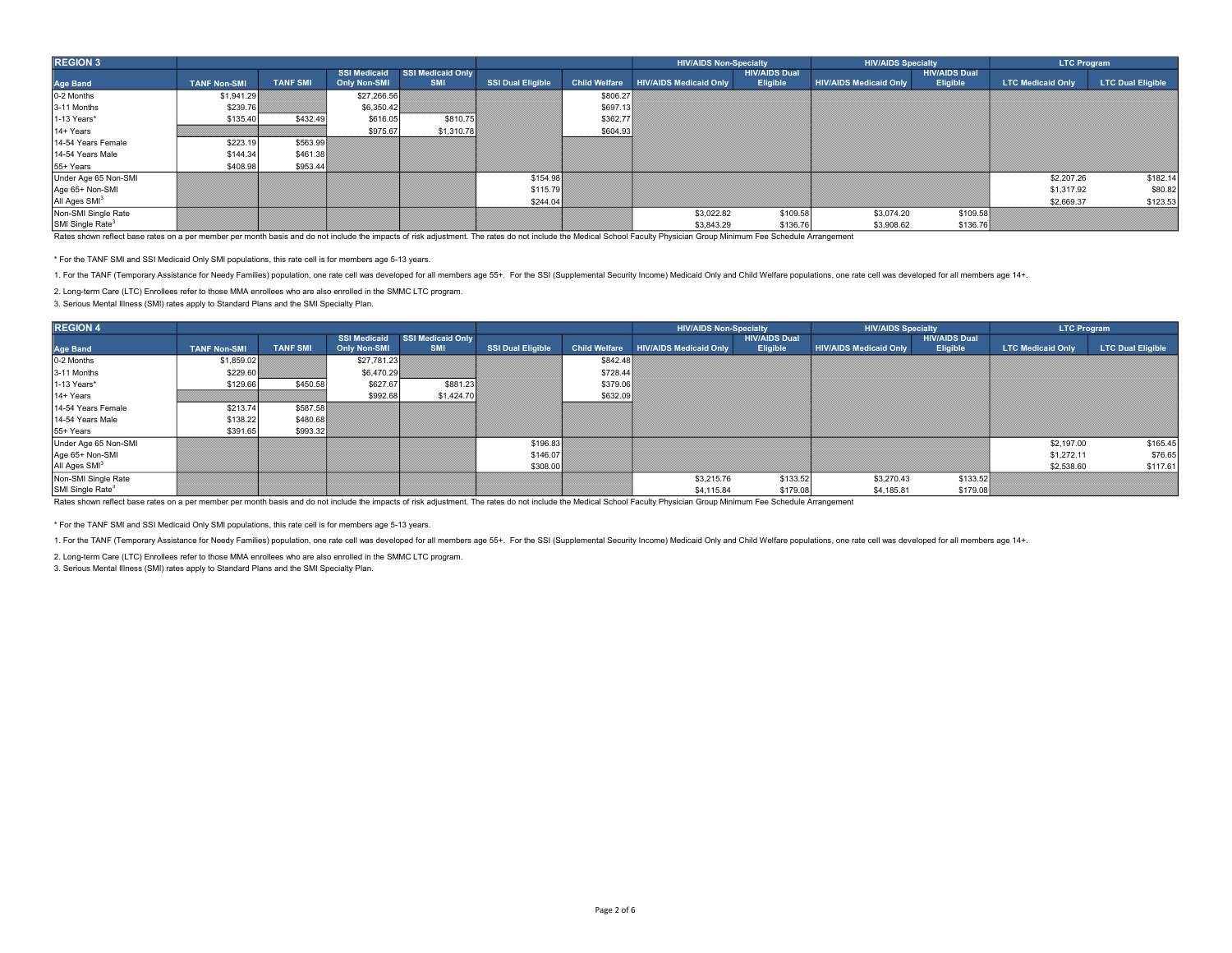| <b>REGION 3</b>              |                     |                 |                     |                          |                          |                      | <b>HIV/AIDS Non-Specialty</b> |                      | <b>HIV/AIDS Specialty</b>     |                      | <b>LTC Program</b>       |                          |
|------------------------------|---------------------|-----------------|---------------------|--------------------------|--------------------------|----------------------|-------------------------------|----------------------|-------------------------------|----------------------|--------------------------|--------------------------|
|                              |                     |                 | <b>SSI Medicaid</b> | <b>SSI Medicaid Only</b> |                          |                      |                               | <b>HIV/AIDS Dual</b> |                               | <b>HIV/AIDS Dual</b> |                          |                          |
| <b>Age Band</b>              | <b>TANF Non-SMI</b> | <b>TANF SMI</b> | <b>Only Non-SMI</b> | <b>SMI</b>               | <b>SSI Dual Eligible</b> | <b>Child Welfare</b> | <b>HIV/AIDS Medicaid Only</b> | Eligible             | <b>HIV/AIDS Medicaid Only</b> | Eligible             | <b>LTC Medicaid Only</b> | <b>LTC Dual Eligible</b> |
| 0-2 Months                   | \$1,941.29          |                 | \$27,266.56         |                          |                          | \$806.27             |                               |                      |                               |                      |                          |                          |
| 3-11 Months                  | \$239.76            |                 | \$6,350.42          |                          |                          | \$697.13             |                               |                      |                               |                      |                          |                          |
| 1-13 Years*                  | \$135.40            | \$432.49        | \$616.05            | \$810.75                 |                          | \$362.77             |                               |                      |                               |                      |                          |                          |
| 14+ Years                    |                     |                 | \$975.67            | \$1,310.78               |                          | \$604.93             |                               |                      |                               |                      |                          |                          |
| 14-54 Years Female           | \$223.19            | \$563.99        |                     |                          |                          |                      |                               |                      |                               |                      |                          |                          |
| 14-54 Years Male             | \$144.34            | \$461.38        |                     |                          |                          |                      |                               |                      |                               |                      |                          |                          |
| 55+ Years                    | \$408.98            | \$953.44        |                     |                          |                          |                      |                               |                      |                               |                      |                          |                          |
| Under Age 65 Non-SMI         |                     |                 |                     |                          | \$154.98                 |                      |                               |                      |                               |                      | \$2,207.26               | \$182.14                 |
| Age 65+ Non-SMI              |                     |                 |                     |                          | \$115.79                 |                      |                               |                      |                               |                      | \$1,317.92               | \$80.82                  |
| All Ages SMI <sup>3</sup>    |                     |                 |                     |                          | \$244.04                 |                      |                               |                      |                               |                      | \$2,669.37               | \$123.53                 |
| Non-SMI Single Rate          |                     |                 |                     |                          |                          |                      | \$3,022.82                    | \$109.58             | \$3,074.20                    | \$109.58             |                          |                          |
| SMI Single Rate <sup>3</sup> |                     |                 |                     |                          |                          |                      | \$3,843.29                    | \$136.76             | \$3,908.62                    | \$136.76             |                          |                          |

\* For the TANF SMI and SSI Medicaid Only SMI populations, this rate cell is for members age 5-13 years.

1. For the TANF (Temporary Assistance for Needy Families) population, one rate cell was developed for all members age 55+. For the SSI (Supplemental Security Income) Medicaid Only and Child Welfare populations, one rate ce

2. Long-term Care (LTC) Enrollees refer to those MMA enrollees who are also enrolled in the SMMC LTC program.

3. Serious Mental Illness (SMI) rates apply to Standard Plans and the SMI Specialty Plan.

| <b>REGION 4</b>              |                     |                 |                                     |                                 |                          |                      | <b>HIV/AIDS Non-Specialty</b> |                                  | <b>HIV/AIDS Specialty</b>     |                                  | <b>LTC Program</b>       |                          |
|------------------------------|---------------------|-----------------|-------------------------------------|---------------------------------|--------------------------|----------------------|-------------------------------|----------------------------------|-------------------------------|----------------------------------|--------------------------|--------------------------|
| <b>Age Band</b>              | <b>TANF Non-SMI</b> | <b>TANF SMI</b> | <b>SSI Medicaid</b><br>Only Non-SMI | SSI Medicaid Only<br><b>SMI</b> | <b>SSI Dual Eligible</b> | <b>Child Welfare</b> | <b>HIV/AIDS Medicaid Only</b> | <b>HIV/AIDS Dual</b><br>Eligible | <b>HIV/AIDS Medicaid Only</b> | <b>HIV/AIDS Dual</b><br>Eligible | <b>LTC Medicaid Only</b> | <b>LTC Dual Eligible</b> |
| 0-2 Months                   | \$1,859.02          |                 | \$27,781.23                         |                                 |                          | \$842.48             |                               |                                  |                               |                                  |                          |                          |
| 3-11 Months                  | \$229.60            |                 | \$6,470.29                          |                                 |                          | \$728.44             |                               |                                  |                               |                                  |                          |                          |
| 1-13 Years*                  | \$129.66            | \$450.58        | \$627.67                            | \$881.23                        |                          | \$379.06             |                               |                                  |                               |                                  |                          |                          |
| 14+ Years                    |                     |                 | \$992.68                            | \$1,424.70                      |                          | \$632.09             |                               |                                  |                               |                                  |                          |                          |
| 14-54 Years Female           | \$213.74            | \$587.58        |                                     |                                 |                          |                      |                               |                                  |                               |                                  |                          |                          |
| 14-54 Years Male             | \$138.22            | \$480.68        |                                     |                                 |                          |                      |                               |                                  |                               |                                  |                          |                          |
| 55+ Years                    | \$391.65            | \$993.32        |                                     |                                 |                          |                      |                               |                                  |                               |                                  |                          |                          |
| Under Age 65 Non-SMI         |                     |                 |                                     |                                 | \$196.83                 |                      |                               |                                  |                               |                                  | \$2,197.00               | \$165.45                 |
| Age 65+ Non-SMI              |                     |                 |                                     |                                 | \$146.07                 |                      |                               |                                  |                               |                                  | \$1,272.11               | \$76.65                  |
| All Ages SMI <sup>3</sup>    |                     |                 |                                     |                                 | \$308.00                 |                      |                               |                                  |                               |                                  | \$2,538.60               | \$117.61                 |
| Non-SMI Single Rate          |                     |                 |                                     |                                 |                          |                      | \$3,215.76                    | \$133.52                         | \$3,270.43                    | \$133.52                         |                          |                          |
| SMI Single Rate <sup>3</sup> |                     |                 |                                     |                                 |                          |                      | \$4,115.84                    | \$179.08                         | \$4,185.81                    | \$179.08                         |                          |                          |

Rates shown reflect base rates on a per member per month basis and do not include the impacts of risk adjustment. The rates do not include the Medical School Faculty Physician Group Minimum Fee Schedule Arrangement

\* For the TANF SMI and SSI Medicaid Only SMI populations, this rate cell is for members age 5-13 years.

1. For the TANF (Temporary Assistance for Needy Families) population, one rate cell was developed for all members age 55+. For the SSI (Supplemental Security Income) Medicaid Only and Child Welfare populations, one rate ce

2. Long-term Care (LTC) Enrollees refer to those MMA enrollees who are also enrolled in the SMMC LTC program.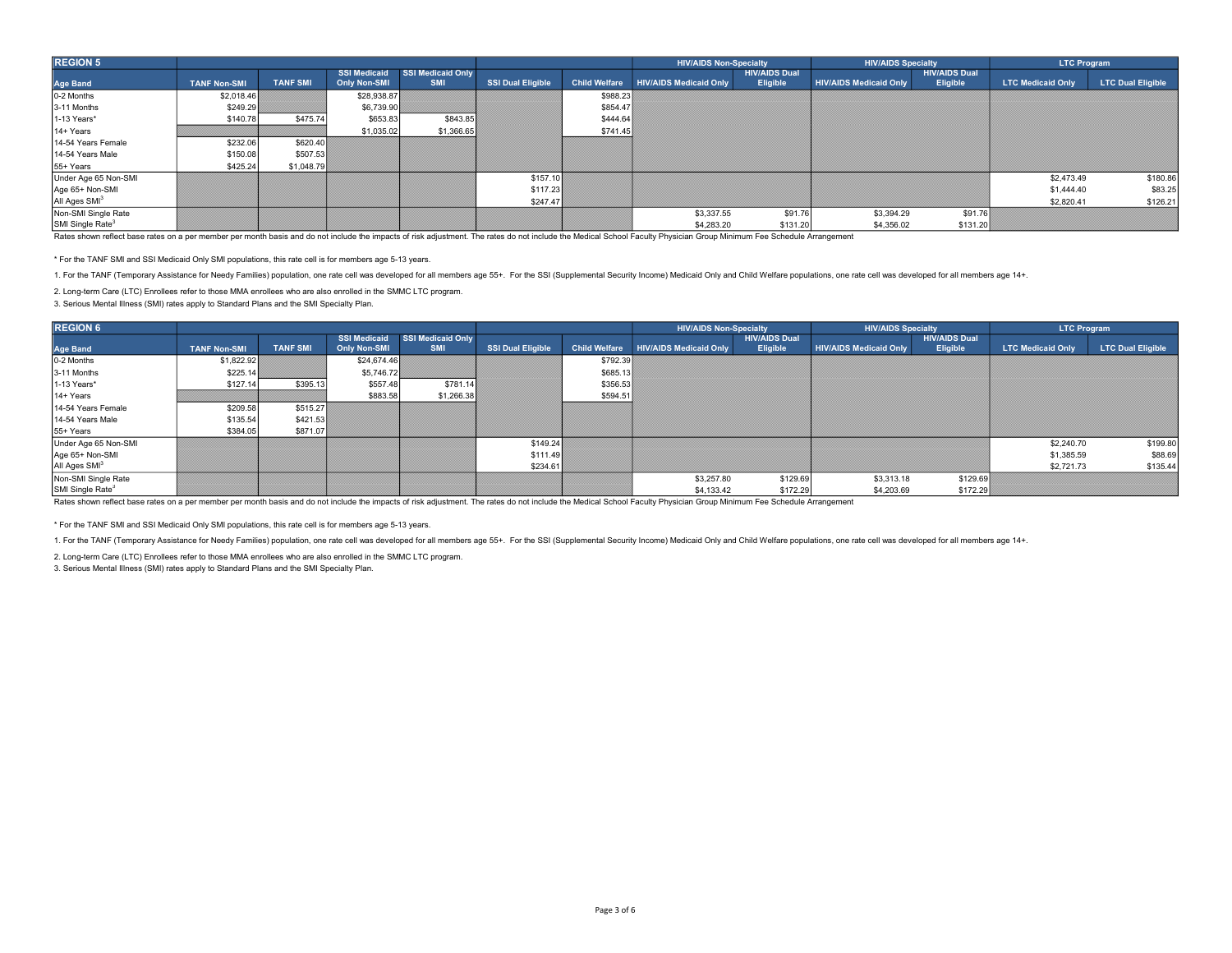| <b>REGION 5</b>              |                     |                 |                     |                          |                          |                      | <b>HIV/AIDS Non-Specialty</b> |                      | <b>HIV/AIDS Specialty</b>     |                      | <b>LTC Program</b>       |                          |
|------------------------------|---------------------|-----------------|---------------------|--------------------------|--------------------------|----------------------|-------------------------------|----------------------|-------------------------------|----------------------|--------------------------|--------------------------|
|                              |                     |                 | <b>SSI Medicaid</b> | <b>SSI Medicaid Only</b> |                          |                      |                               | <b>HIV/AIDS Dual</b> |                               | <b>HIV/AIDS Dual</b> |                          |                          |
| <b>Age Band</b>              | <b>TANF Non-SMI</b> | <b>TANF SMI</b> | <b>Only Non-SMI</b> | <b>SMI</b>               | <b>SSI Dual Eligible</b> | <b>Child Welfare</b> | <b>HIV/AIDS Medicaid Only</b> | Eligible             | <b>HIV/AIDS Medicaid Only</b> | Eligible             | <b>LTC Medicaid Only</b> | <b>LTC Dual Eligible</b> |
| 0-2 Months                   | \$2,018.46          |                 | \$28,938.87         |                          |                          | \$988.23             |                               |                      |                               |                      |                          |                          |
| 3-11 Months                  | \$249.29            |                 | \$6,739.90          |                          |                          | \$854.47             |                               |                      |                               |                      |                          |                          |
| 1-13 Years*                  | \$140.78            | \$475.74        | \$653.83            | \$843.85                 |                          | \$444.64             |                               |                      |                               |                      |                          |                          |
| 14+ Years                    |                     |                 | \$1,035.02          | \$1,366.65               |                          | \$741.45             |                               |                      |                               |                      |                          |                          |
| 14-54 Years Female           | \$232.06            | \$620.40        |                     |                          |                          |                      |                               |                      |                               |                      |                          |                          |
| 14-54 Years Male             | \$150.08            | \$507.53        |                     |                          |                          |                      |                               |                      |                               |                      |                          |                          |
| 55+ Years                    | \$425.24            | \$1,048.79      |                     |                          |                          |                      |                               |                      |                               |                      |                          |                          |
| Under Age 65 Non-SMI         |                     |                 |                     |                          | \$157.10                 |                      |                               |                      |                               |                      | \$2,473.49               | \$180.86                 |
| Age 65+ Non-SMI              |                     |                 |                     |                          | \$117.23                 |                      |                               |                      |                               |                      | \$1,444.40               | \$83.25                  |
| All Ages SMI <sup>3</sup>    |                     |                 |                     |                          | \$247.47                 |                      |                               |                      |                               |                      | \$2,820.41               | \$126.21                 |
| Non-SMI Single Rate          |                     |                 |                     |                          |                          |                      | \$3,337.55                    | \$91.76              | \$3,394.29                    | \$91.76              |                          |                          |
| SMI Single Rate <sup>3</sup> |                     |                 |                     |                          |                          |                      | \$4,283,20                    | \$131.20             | \$4,356.02                    | \$131.20             |                          |                          |

\* For the TANF SMI and SSI Medicaid Only SMI populations, this rate cell is for members age 5-13 years.

1. For the TANF (Temporary Assistance for Needy Families) population, one rate cell was developed for all members age 55+. For the SSI (Supplemental Security Income) Medicaid Only and Child Welfare populations, one rate ce

2. Long-term Care (LTC) Enrollees refer to those MMA enrollees who are also enrolled in the SMMC LTC program.

3. Serious Mental Illness (SMI) rates apply to Standard Plans and the SMI Specialty Plan.

| <b>REGION 6</b>              |                     |                 |              |                                              |                          |                      | <b>HIV/AIDS Non-Specialty</b> |                                  | <b>HIV/AIDS Specialty</b>     |                                  | <b>LTC Program</b>       |                          |
|------------------------------|---------------------|-----------------|--------------|----------------------------------------------|--------------------------|----------------------|-------------------------------|----------------------------------|-------------------------------|----------------------------------|--------------------------|--------------------------|
| <b>Age Band</b>              | <b>TANF Non-SMI</b> | <b>TANF SMI</b> | Only Non-SMI | SSI Medicaid SSI Medicaid Only<br><b>SMI</b> | <b>SSI Dual Eligible</b> | <b>Child Welfare</b> | <b>HIV/AIDS Medicaid Only</b> | <b>HIV/AIDS Dual</b><br>Eligible | <b>HIV/AIDS Medicaid Only</b> | <b>HIV/AIDS Dual</b><br>Eligible | <b>LTC Medicaid Only</b> | <b>LTC Dual Eligible</b> |
| 0-2 Months                   | \$1,822.92          |                 | \$24,674.46  |                                              |                          | \$792.39             |                               |                                  |                               |                                  |                          |                          |
| 3-11 Months                  | \$225.14            |                 | \$5,746.72   |                                              |                          | \$685.13             |                               |                                  |                               |                                  |                          |                          |
| 1-13 Years*                  | \$127.14            | \$395.13        | \$557.48     | \$781.14                                     |                          | \$356.53             |                               |                                  |                               |                                  |                          |                          |
| 14+ Years                    |                     |                 | \$883.58     | \$1,266.38                                   |                          | \$594.51             |                               |                                  |                               |                                  |                          |                          |
| 14-54 Years Female           | \$209.58            | \$515.27        |              |                                              |                          |                      |                               |                                  |                               |                                  |                          |                          |
| 14-54 Years Male             | \$135.54            | \$421.53        |              |                                              |                          |                      |                               |                                  |                               |                                  |                          |                          |
| 55+ Years                    | \$384.05            | \$871.07        |              |                                              |                          |                      |                               |                                  |                               |                                  |                          |                          |
| Under Age 65 Non-SMI         |                     |                 |              |                                              | \$149.24                 |                      |                               |                                  |                               |                                  | \$2,240.70               | \$199.80                 |
| Age 65+ Non-SMI              |                     |                 |              |                                              | \$111.49                 |                      |                               |                                  |                               |                                  | \$1,385.59               | \$88.69                  |
| All Ages SMI <sup>3</sup>    |                     |                 |              |                                              | \$234.61                 |                      |                               |                                  |                               |                                  | \$2,721,73               | \$135.44                 |
| Non-SMI Single Rate          |                     |                 |              |                                              |                          |                      | \$3,257.80                    | \$129.69                         | \$3,313.18                    | \$129.69                         |                          |                          |
| SMI Single Rate <sup>3</sup> |                     |                 |              |                                              |                          |                      | \$4,133.42                    | \$172.29                         | \$4,203.69                    | \$172.29                         |                          |                          |

Rates shown reflect base rates on a per member per month basis and do not include the impacts of risk adjustment. The rates do not include the Medical School Faculty Physician Group Minimum Fee Schedule Arrangement

\* For the TANF SMI and SSI Medicaid Only SMI populations, this rate cell is for members age 5-13 years.

1. For the TANF (Temporary Assistance for Needy Families) population, one rate cell was developed for all members age 55+. For the SSI (Supplemental Security Income) Medicaid Only and Child Welfare populations, one rate ce

2. Long-term Care (LTC) Enrollees refer to those MMA enrollees who are also enrolled in the SMMC LTC program.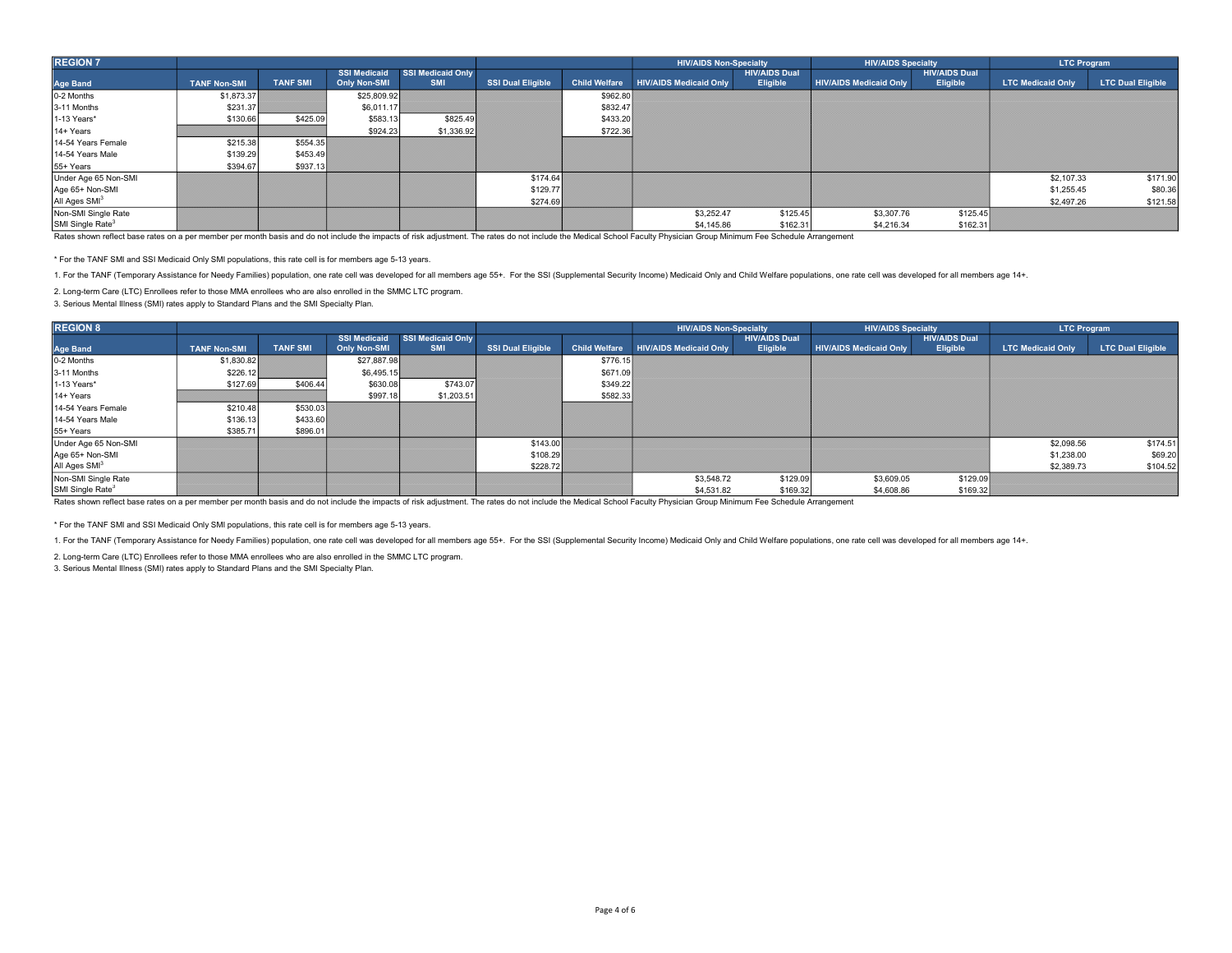| <b>REGION 7</b>              |                     |                 |                     |                          |                          |                      | <b>HIV/AIDS Non-Specialty</b> |                      | <b>HIV/AIDS Specialty</b>     |                      | <b>LTC Program</b>       |                          |
|------------------------------|---------------------|-----------------|---------------------|--------------------------|--------------------------|----------------------|-------------------------------|----------------------|-------------------------------|----------------------|--------------------------|--------------------------|
|                              |                     |                 | <b>SSI Medicaid</b> | <b>SSI Medicaid Only</b> |                          |                      |                               | <b>HIV/AIDS Dual</b> |                               | <b>HIV/AIDS Dual</b> |                          |                          |
| <b>Age Band</b>              | <b>TANF Non-SMI</b> | <b>TANF SMI</b> | <b>Only Non-SMI</b> | <b>SMI</b>               | <b>SSI Dual Eligible</b> | <b>Child Welfare</b> | <b>HIV/AIDS Medicaid Only</b> | Eligible             | <b>HIV/AIDS Medicaid Only</b> | Eligible             | <b>LTC Medicaid Only</b> | <b>LTC Dual Eligible</b> |
| 0-2 Months                   | \$1,873.37          |                 | \$25,809.92         |                          |                          | \$962.80             |                               |                      |                               |                      |                          |                          |
| 3-11 Months                  | \$231.37            |                 | \$6,011.17          |                          |                          | \$832.47             |                               |                      |                               |                      |                          |                          |
| 1-13 Years*                  | \$130.66            | \$425.09        | \$583.13            | \$825.49                 |                          | \$433.20             |                               |                      |                               |                      |                          |                          |
| 14+ Years                    |                     |                 | \$924.23            | \$1,336.92               |                          | \$722.36             |                               |                      |                               |                      |                          |                          |
| 14-54 Years Female           | \$215.38            | \$554.35        |                     |                          |                          |                      |                               |                      |                               |                      |                          |                          |
| 14-54 Years Male             | \$139.29            | \$453.49        |                     |                          |                          |                      |                               |                      |                               |                      |                          |                          |
| 55+ Years                    | \$394.67            | \$937.13        |                     |                          |                          |                      |                               |                      |                               |                      |                          |                          |
| Under Age 65 Non-SMI         |                     |                 |                     |                          | \$174.64                 |                      |                               |                      |                               |                      | \$2,107.33               | \$171.90                 |
| Age 65+ Non-SMI              |                     |                 |                     |                          | \$129.77                 |                      |                               |                      |                               |                      | \$1,255.45               | \$80.36                  |
| All Ages SMI <sup>3</sup>    |                     |                 |                     |                          | \$274.69                 |                      |                               |                      |                               |                      | \$2,497.26               | \$121.58                 |
| Non-SMI Single Rate          |                     |                 |                     |                          |                          |                      | \$3,252.47                    | \$125.45             | \$3,307.76                    | \$125.45             |                          |                          |
| SMI Single Rate <sup>3</sup> |                     |                 |                     |                          |                          |                      | \$4,145.86                    | \$162.31             | \$4,216.34                    | \$162.31             |                          |                          |

\* For the TANF SMI and SSI Medicaid Only SMI populations, this rate cell is for members age 5-13 years.

1. For the TANF (Temporary Assistance for Needy Families) population, one rate cell was developed for all members age 55+. For the SSI (Supplemental Security Income) Medicaid Only and Child Welfare populations, one rate ce

2. Long-term Care (LTC) Enrollees refer to those MMA enrollees who are also enrolled in the SMMC LTC program.

3. Serious Mental Illness (SMI) rates apply to Standard Plans and the SMI Specialty Plan.

| <b>REGION 8</b>              |                     |                 |                                     |                                 |                          |                      | <b>HIV/AIDS Non-Specialty</b> |                                  | <b>HIV/AIDS Specialty</b>     |                                  | <b>LTC Program</b>       |                          |
|------------------------------|---------------------|-----------------|-------------------------------------|---------------------------------|--------------------------|----------------------|-------------------------------|----------------------------------|-------------------------------|----------------------------------|--------------------------|--------------------------|
| <b>Age Band</b>              | <b>TANF Non-SMI</b> | <b>TANF SMI</b> | <b>SSI Medicaid</b><br>Only Non-SMI | SSI Medicaid Only<br><b>SMI</b> | <b>SSI Dual Eligible</b> | <b>Child Welfare</b> | <b>HIV/AIDS Medicaid Only</b> | <b>HIV/AIDS Dual</b><br>Eligible | <b>HIV/AIDS Medicaid Only</b> | <b>HIV/AIDS Dual</b><br>Eligible | <b>LTC Medicaid Only</b> | <b>LTC Dual Eligible</b> |
| 0-2 Months                   | \$1,830.82          |                 | \$27,887.98                         |                                 |                          | \$776.15             |                               |                                  |                               |                                  |                          |                          |
| 3-11 Months                  | \$226.12            |                 | \$6,495.15                          |                                 |                          | \$671.09             |                               |                                  |                               |                                  |                          |                          |
| 1-13 Years*                  | \$127.69            | \$406.44        | \$630.08                            | \$743.07                        |                          | \$349.22             |                               |                                  |                               |                                  |                          |                          |
| 14+ Years                    |                     |                 | \$997.18                            | \$1,203.51                      |                          | \$582.33             |                               |                                  |                               |                                  |                          |                          |
| 14-54 Years Female           | \$210.48            | \$530.03        |                                     |                                 |                          |                      |                               |                                  |                               |                                  |                          |                          |
| 14-54 Years Male             | \$136.13            | \$433.60        |                                     |                                 |                          |                      |                               |                                  |                               |                                  |                          |                          |
| 55+ Years                    | \$385.71            | \$896.01        |                                     |                                 |                          |                      |                               |                                  |                               |                                  |                          |                          |
| Under Age 65 Non-SMI         |                     |                 |                                     |                                 | \$143.00                 |                      |                               |                                  |                               |                                  | \$2,098.56               | \$174.51                 |
| Age 65+ Non-SMI              |                     |                 |                                     |                                 | \$108.29                 |                      |                               |                                  |                               |                                  | \$1,238.00               | \$69.20                  |
| All Ages SMI <sup>3</sup>    |                     |                 |                                     |                                 | \$228.72                 |                      |                               |                                  |                               |                                  | \$2,389.73               | \$104.52                 |
| Non-SMI Single Rate          |                     |                 |                                     |                                 |                          |                      | \$3,548.72                    | \$129.09                         | \$3,609.05                    | \$129.09                         |                          |                          |
| SMI Single Rate <sup>3</sup> |                     |                 |                                     |                                 |                          |                      | \$4,531.82                    | \$169.32                         | \$4,608.86                    | \$169.32                         |                          |                          |

Rates shown reflect base rates on a per member per month basis and do not include the impacts of risk adjustment. The rates do not include the Medical School Faculty Physician Group Minimum Fee Schedule Arrangement

\* For the TANF SMI and SSI Medicaid Only SMI populations, this rate cell is for members age 5-13 years.

1. For the TANF (Temporary Assistance for Needy Families) population, one rate cell was developed for all members age 55+. For the SSI (Supplemental Security Income) Medicaid Only and Child Welfare populations, one rate ce

2. Long-term Care (LTC) Enrollees refer to those MMA enrollees who are also enrolled in the SMMC LTC program.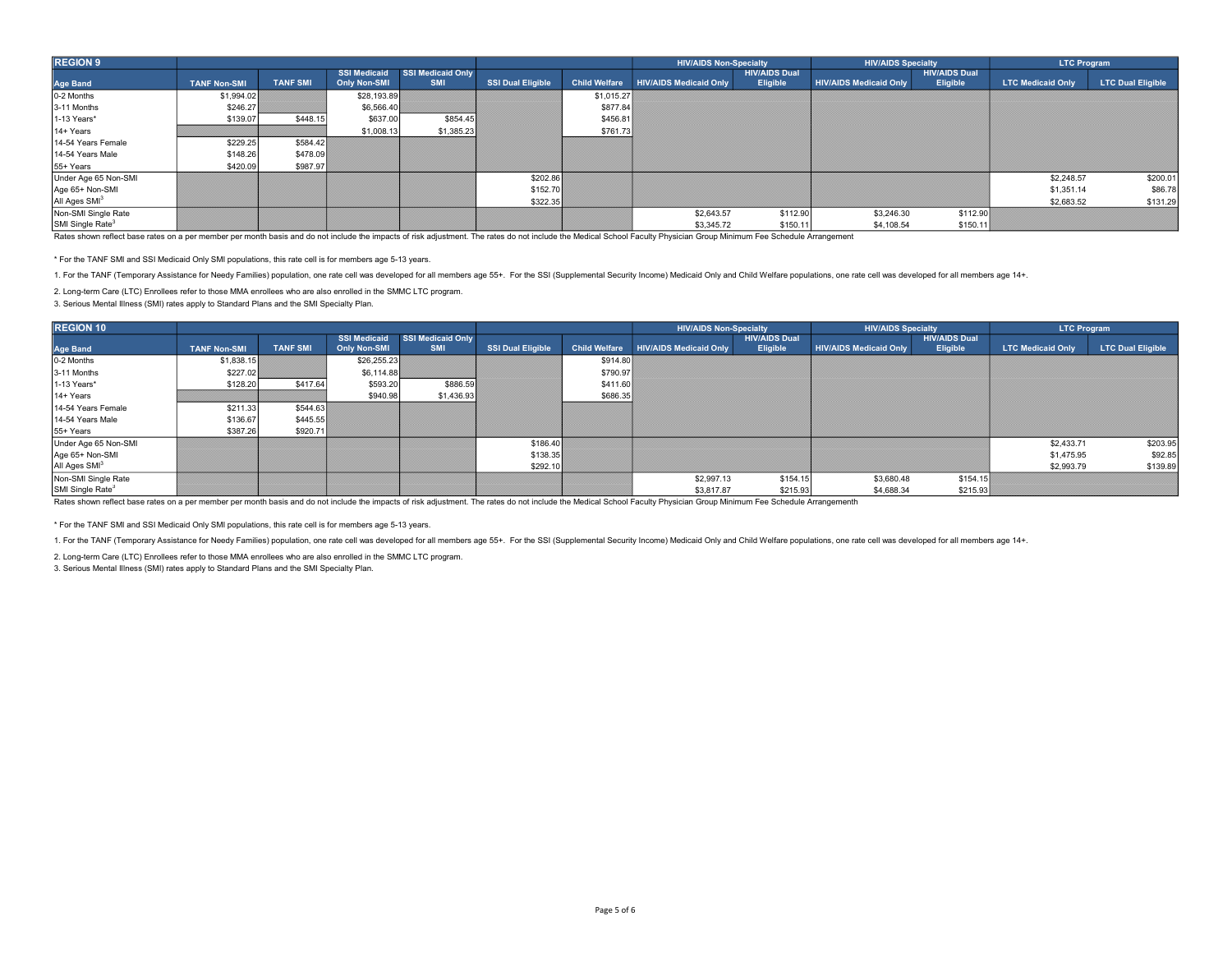| <b>REGION 9</b>              |                     |                 |                     |                          |                          |                      | <b>HIV/AIDS Non-Specialty</b> |                      | <b>HIV/AIDS Specialty</b>     |                      | <b>LTC Program</b>       |                          |
|------------------------------|---------------------|-----------------|---------------------|--------------------------|--------------------------|----------------------|-------------------------------|----------------------|-------------------------------|----------------------|--------------------------|--------------------------|
|                              |                     |                 | <b>SSI Medicaid</b> | <b>SSI Medicaid Only</b> |                          |                      |                               | <b>HIV/AIDS Dual</b> |                               | <b>HIV/AIDS Dual</b> |                          |                          |
| <b>Age Band</b>              | <b>TANF Non-SMI</b> | <b>TANF SMI</b> | <b>Only Non-SMI</b> | <b>SMI</b>               | <b>SSI Dual Eligible</b> | <b>Child Welfare</b> | <b>HIV/AIDS Medicaid Only</b> | Eligible             | <b>HIV/AIDS Medicaid Only</b> | Eligible             | <b>LTC Medicaid Only</b> | <b>LTC Dual Eligible</b> |
| 0-2 Months                   | \$1,994.02          |                 | \$28,193.89         |                          |                          | \$1,015.27           |                               |                      |                               |                      |                          |                          |
| 3-11 Months                  | \$246.27            |                 | \$6,566.40          |                          |                          | \$877.84             |                               |                      |                               |                      |                          |                          |
| 1-13 Years*                  | \$139.07            | \$448.15        | \$637.00            | \$854.45                 |                          | \$456.81             |                               |                      |                               |                      |                          |                          |
| 14+ Years                    |                     |                 | \$1,008.13          | \$1,385.23               |                          | \$761.73             |                               |                      |                               |                      |                          |                          |
| 14-54 Years Female           | \$229.25            | \$584.42        |                     |                          |                          |                      |                               |                      |                               |                      |                          |                          |
| 14-54 Years Male             | \$148.26            | \$478.09        |                     |                          |                          |                      |                               |                      |                               |                      |                          |                          |
| 55+ Years                    | \$420.09            | \$987.97        |                     |                          |                          |                      |                               |                      |                               |                      |                          |                          |
| Under Age 65 Non-SMI         |                     |                 |                     |                          | \$202.86                 |                      |                               |                      |                               |                      | \$2,248.57               | \$200.01                 |
| Age 65+ Non-SMI              |                     |                 |                     |                          | \$152.70                 |                      |                               |                      |                               |                      | \$1,351.14               | \$86.78                  |
| All Ages SMI <sup>3</sup>    |                     |                 |                     |                          | \$322.35                 |                      |                               |                      |                               |                      | \$2,683.52               | \$131.29                 |
| Non-SMI Single Rate          |                     |                 |                     |                          |                          |                      | \$2,643.57                    | \$112.90             | \$3,246.30                    | \$112.90             |                          |                          |
| SMI Single Rate <sup>3</sup> |                     |                 |                     |                          |                          |                      | \$3,345.72                    | \$150.11             | \$4,108.54                    | \$150.11             |                          |                          |

\* For the TANF SMI and SSI Medicaid Only SMI populations, this rate cell is for members age 5-13 years.

1. For the TANF (Temporary Assistance for Needy Families) population, one rate cell was developed for all members age 55+. For the SSI (Supplemental Security Income) Medicaid Only and Child Welfare populations, one rate ce

2. Long-term Care (LTC) Enrollees refer to those MMA enrollees who are also enrolled in the SMMC LTC program.

3. Serious Mental Illness (SMI) rates apply to Standard Plans and the SMI Specialty Plan.

| <b>REGION 10</b>             |                     |                 |              |                                              |                          |                      | <b>HIV/AIDS Non-Specialty</b> |                                  | <b>HIV/AIDS Specialty</b>     |                                  | <b>LTC Program</b>       |                          |
|------------------------------|---------------------|-----------------|--------------|----------------------------------------------|--------------------------|----------------------|-------------------------------|----------------------------------|-------------------------------|----------------------------------|--------------------------|--------------------------|
| <b>Age Band</b>              | <b>TANF Non-SMI</b> | <b>TANF SMI</b> | Only Non-SMI | SSI Medicaid SSI Medicaid Only<br><b>SMI</b> | <b>SSI Dual Eligible</b> | <b>Child Welfare</b> | <b>HIV/AIDS Medicaid Only</b> | <b>HIV/AIDS Dual</b><br>Eligible | <b>HIV/AIDS Medicaid Only</b> | <b>HIV/AIDS Dual</b><br>Eligible | <b>LTC Medicaid Only</b> | <b>LTC Dual Eligible</b> |
| 0-2 Months                   | \$1,838.15          |                 | \$26,255.23  |                                              |                          | \$914.80             |                               |                                  |                               |                                  |                          |                          |
| 3-11 Months                  | \$227.02            |                 | \$6,114.88   |                                              |                          | \$790.97             |                               |                                  |                               |                                  |                          |                          |
| 1-13 Years*                  | \$128.20            | \$417.64        | \$593.20     | \$886.59                                     |                          | \$411.60             |                               |                                  |                               |                                  |                          |                          |
| 14+ Years                    |                     |                 | \$940.98     | \$1,436.93                                   |                          | \$686.35             |                               |                                  |                               |                                  |                          |                          |
| 14-54 Years Female           | \$211.33            | \$544.63        |              |                                              |                          |                      |                               |                                  |                               |                                  |                          |                          |
| 14-54 Years Male             | \$136.67            | \$445.55        |              |                                              |                          |                      |                               |                                  |                               |                                  |                          |                          |
| 55+ Years                    | \$387.26            | \$920.71        |              |                                              |                          |                      |                               |                                  |                               |                                  |                          |                          |
| Under Age 65 Non-SMI         |                     |                 |              |                                              | \$186.40                 |                      |                               |                                  |                               |                                  | \$2,433.71               | \$203.95                 |
| Age 65+ Non-SMI              |                     |                 |              |                                              | \$138.35                 |                      |                               |                                  |                               |                                  | \$1,475.95               | \$92.85                  |
| All Ages SMI <sup>3</sup>    |                     |                 |              |                                              | \$292.10                 |                      |                               |                                  |                               |                                  | \$2,993.79               | \$139.89                 |
| Non-SMI Single Rate          |                     |                 |              |                                              |                          |                      | \$2,997.13                    | \$154.15                         | \$3,680.48                    | \$154.15                         |                          |                          |
| SMI Single Rate <sup>3</sup> |                     |                 |              |                                              |                          |                      | \$3,817.87                    | \$215.93                         | \$4,688.34                    | \$215.93                         |                          |                          |

Rates shown reflect base rates on a per member per month basis and do not include the impacts of risk adjustment. The rates do not include the Medical School Faculty Physician Group Minimum Fee Schedule Arrangementh

\* For the TANF SMI and SSI Medicaid Only SMI populations, this rate cell is for members age 5-13 years.

1. For the TANF (Temporary Assistance for Needy Families) population, one rate cell was developed for all members age 55+. For the SSI (Supplemental Security Income) Medicaid Only and Child Welfare populations, one rate ce

2. Long-term Care (LTC) Enrollees refer to those MMA enrollees who are also enrolled in the SMMC LTC program.